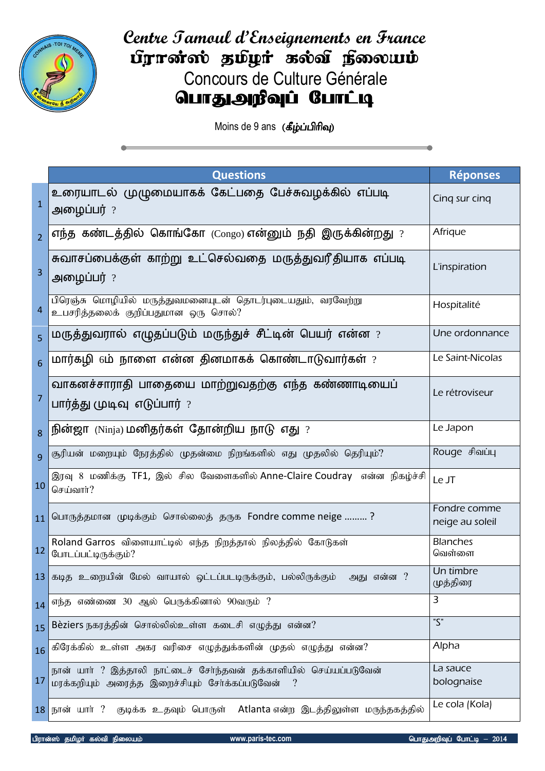

**Centre Tamoul d'Enseignements en France** fgrond; guyt sool forware Concours de Culture Générale **வாதுஅறீவுப் போட்டி** 

Moins de 9 ans (கீழ்ப்பிரிவு)

|                | <b>Questions</b>                                                                                                                    | <b>Réponses</b>                 |
|----------------|-------------------------------------------------------------------------------------------------------------------------------------|---------------------------------|
| $\mathbf{1}$   | உரையாடல் முழுமையாகக் கேட்பதை பேச்சுவழக்கில் எப்படி<br>அழைப்பர் ?                                                                    | Cing sur cing                   |
| $\overline{2}$ | எந்த கண்டத்தில் கொங்கோ $\left(\mathsf{Congo}\right)$ என்னும் நதி இருக்கின்றது $?$                                                   | Afrique                         |
| 3              | சுவாசப்பைக்குள் காற்று உட்செல்வதை மருத்துவரீதியாக எப்படி<br>அழைப்பர் ?                                                              | L'inspiration                   |
| 4              | பிரெஞ்சு மொழியில் மருத்துவமனையுடன் தொடர்புடையதும், வரவேற்று<br>உபசரித்தலைக் குறிப்பதுமான ஒரு சொல்?                                  | Hospitalité                     |
| 5              | மருத்துவரால் எழுதப்படும் மருந்துச் சீட்டின் பெயர் என்ன $\,$ ?                                                                       | Une ordonnance                  |
| 6              | மார்கழி $6$ ம் நாளை என்ன தினமாகக் கொண்டாடுவார்கள் $?$                                                                               | Le Saint-Nicolas                |
| 7              | வாகனச்சாராதி பாதையை மாற்றுவதற்கு எந்த கண்ணாடியைப்<br>பார்த்து முடிவு எடுப்பார் ?                                                    | Le rétroviseur                  |
| 8              | நின்ஜா (Ninja) மனிதர்கள் தோன்றிய நாடு எது ?                                                                                         | Le Japon                        |
| $\mathbf{q}$   | சூரியன் மறையும் நேரத்தில் முதன்மை நிறங்களில் எது முதலில் தெரியும்?                                                                  | Rouge சிவப்பு                   |
| 10             | இரவு 8 மணிக்கு TF1, இல் சில வேளைகளில் Anne-Claire Coudray  என்ன நிகழ்ச்சி<br>செய்வார்?                                              | Le JT                           |
| 11             | பொருத்தமான முடிக்கும் சொல்லைத் தருக Fondre comme neige ?                                                                            | Fondre comme<br>neige au soleil |
| 12             | Roland Garros விளையாட்டில் எந்த நிறத்தால் நிலத்தில் கோடுகள்<br>போடப்பட்டிருக்கும்?                                                  | <b>Blanches</b><br>வெள்ளை       |
|                | 13 கடித உறையின் மேல் வாயால் ஒட்டப்படடிருக்கும், பல்லிருக்கும்<br>அது என்ன ?                                                         | Un timbre<br>முத்திரை           |
| 14             | எந்த எண்ணை 30 ஆல் பெருக்கினால் 90வரும் ?                                                                                            | 3                               |
| 15             | Bèziers நகரத்தின் சொல்லில்உள்ள கடைசி எழுத்து என்ன?                                                                                  | $\overline{\zeta}$              |
| 16             | கிரேக்கில் உள்ள அகர வரிசை எழுத்துக்களின் முதல் எழுத்து என்ன?                                                                        | Alpha                           |
| 17             | நான் யார் ? இத்தாலி நாட்டைச் சேர்ந்தவன் தக்காளியில் செய்யப்படுவேன்<br>மரக்கறியும் அரைத்த இறைச்சியும் சேர்க்கப்படுவேன்<br>$\ddot{?}$ | La sauce<br>bolognaise          |
|                | குடிக்க உதவும் பொருள் Atlanta என்ற இடத்திலுள்ள மருந்தகத்தில்<br>$18$ நான் யார் ?                                                    | Le cola (Kola)                  |